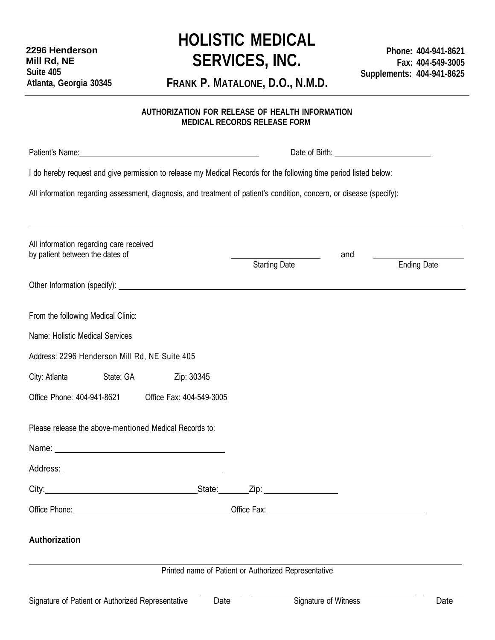## **HOLISTIC MEDICAL SERVICES, INC.**

**FRANK P. MATALONE, D.O., N.M.D.**

## **AUTHORIZATION FOR RELEASE OF HEALTH INFORMATION MEDICAL RECORDS RELEASE FORM**

| Patient's Name: 1988 Contract and the Contract of the Contract of the Contract of the Contract of the Contract of the Contract of the Contract of the Contract of the Contract of the Contract of the Contract of the Contract       |                                                                                     |  |                    |  |  |  |
|--------------------------------------------------------------------------------------------------------------------------------------------------------------------------------------------------------------------------------------|-------------------------------------------------------------------------------------|--|--------------------|--|--|--|
| I do hereby request and give permission to release my Medical Records for the following time period listed below:                                                                                                                    |                                                                                     |  |                    |  |  |  |
| All information regarding assessment, diagnosis, and treatment of patient's condition, concern, or disease (specify):                                                                                                                |                                                                                     |  |                    |  |  |  |
|                                                                                                                                                                                                                                      |                                                                                     |  |                    |  |  |  |
| All information regarding care received<br>by patient between the dates of                                                                                                                                                           | and                                                                                 |  |                    |  |  |  |
|                                                                                                                                                                                                                                      | <b>Starting Date</b>                                                                |  | <b>Ending Date</b> |  |  |  |
|                                                                                                                                                                                                                                      |                                                                                     |  |                    |  |  |  |
| From the following Medical Clinic:                                                                                                                                                                                                   |                                                                                     |  |                    |  |  |  |
| Name: Holistic Medical Services                                                                                                                                                                                                      |                                                                                     |  |                    |  |  |  |
| Address: 2296 Henderson Mill Rd, NE Suite 405                                                                                                                                                                                        |                                                                                     |  |                    |  |  |  |
| State: GA<br>Zip: 30345<br>City: Atlanta                                                                                                                                                                                             |                                                                                     |  |                    |  |  |  |
| Office Phone: 404-941-8621<br>Office Fax: 404-549-3005                                                                                                                                                                               |                                                                                     |  |                    |  |  |  |
| Please release the above-mentioned Medical Records to:                                                                                                                                                                               |                                                                                     |  |                    |  |  |  |
|                                                                                                                                                                                                                                      |                                                                                     |  |                    |  |  |  |
|                                                                                                                                                                                                                                      |                                                                                     |  |                    |  |  |  |
|                                                                                                                                                                                                                                      | $\mathsf{Zip:}\qquad \qquad \overbrace{\qquad \qquad \qquad \qquad \qquad \qquad }$ |  |                    |  |  |  |
| Office Phone: <u>contract and a series of the series of the series of the series of the series of the series of the series of the series of the series of the series of the series of the series of the series of the series of </u> |                                                                                     |  |                    |  |  |  |
| Authorization                                                                                                                                                                                                                        |                                                                                     |  |                    |  |  |  |
| Printed name of Patient or Authorized Representative                                                                                                                                                                                 |                                                                                     |  |                    |  |  |  |
|                                                                                                                                                                                                                                      |                                                                                     |  |                    |  |  |  |